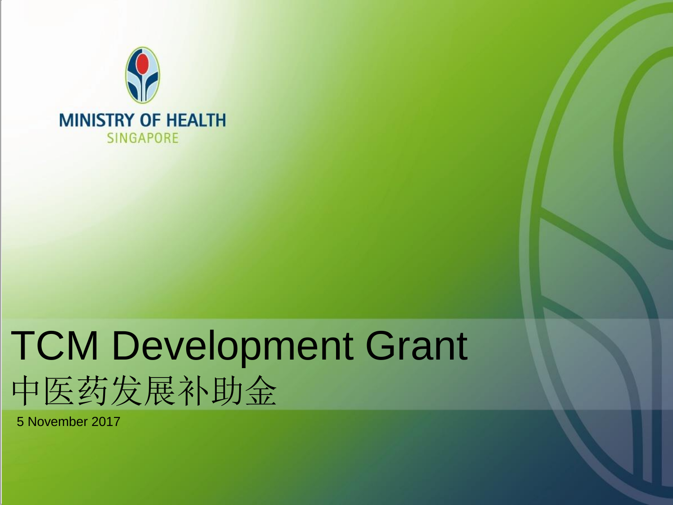

#### TCM Development Grant 中医药发展补助金

5 November 2017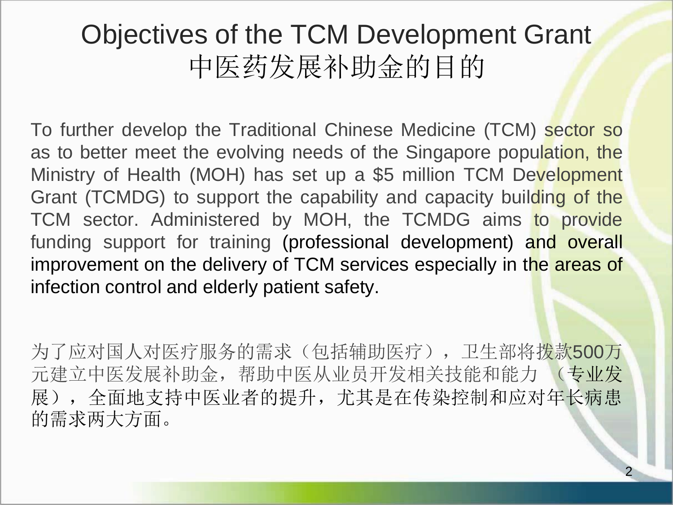#### Objectives of the TCM Development Grant 中医药发展补助金的目的

To further develop the Traditional Chinese Medicine (TCM) sector so as to better meet the evolving needs of the Singapore population, the Ministry of Health (MOH) has set up a \$5 million TCM Development Grant (TCMDG) to support the capability and capacity building of the TCM sector. Administered by MOH, the TCMDG aims to provide funding support for training (professional development) and overall improvement on the delivery of TCM services especially in the areas of infection control and elderly patient safety.

为了应对国人对医疗服务的需求(包括辅助医疗),卫生部将拨款500万 元建立中医发展补助金,帮助中医从业员开发相关技能和能力 (专业发 展),全面地支持中医业者的提升,尤其是在传染控制和应对年长病患 的需求两大方面。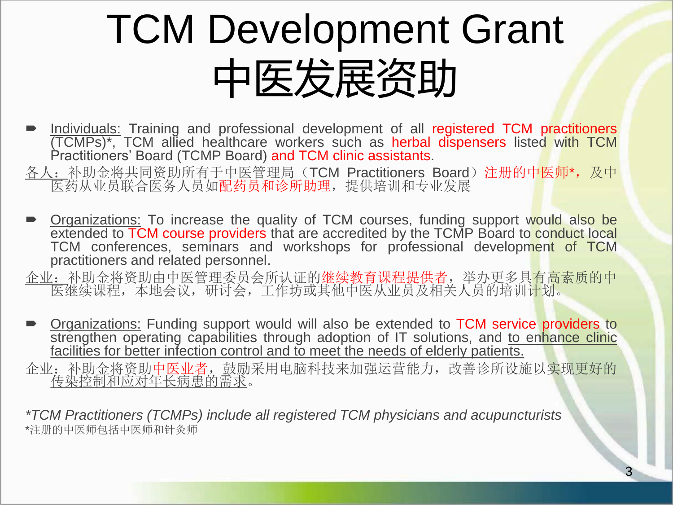## TCM Development Grant 中医发展资助

- **Individuals:** Training and professional development of all registered TCM practitioners (TCMPs)\*, TCM allied healthcare workers such as herbal dispensers listed with TCM Practitioners' Board (TCMP Board) and TCM clinic assistants.
- 各人: 补助金将共同资助所有于中医管理局(TCM Practitioners Board)注册的中医师\*, 及中 医药从业员联合医务人员如配药员和诊所助理,提供培训和专业发展
- **Diganizations:** To increase the quality of TCM courses, funding support would also be extended to TCM course providers that are accredited by the TCMP Board to conduct local TCM conferences, seminars and workshops for professional development of TCM practitioners and related personnel.

企业:补助金将资助由中医管理委员会所认证的继续教育课程提供者,举办更多具有高素质的中 医继续课程,本地会议,研讨会,工作坊或其他中医从业员及相关人员的培训计划。

**Diganizations:** Funding support would will also be extended to TCM service providers to strengthen operating capabilities through adoption of IT solutions, and to enhance clinic facilities for better infection control and to meet the needs of elderly patients.

企业:补助金将资助中医业者,鼓励采用电脑科技来加强运营能力,改善诊所设施以实现更好的 传染控制和应对年长病患的需求。

*\*TCM Practitioners (TCMPs) include all registered TCM physicians and acupuncturists* \*注册的中医师包括中医师和针灸师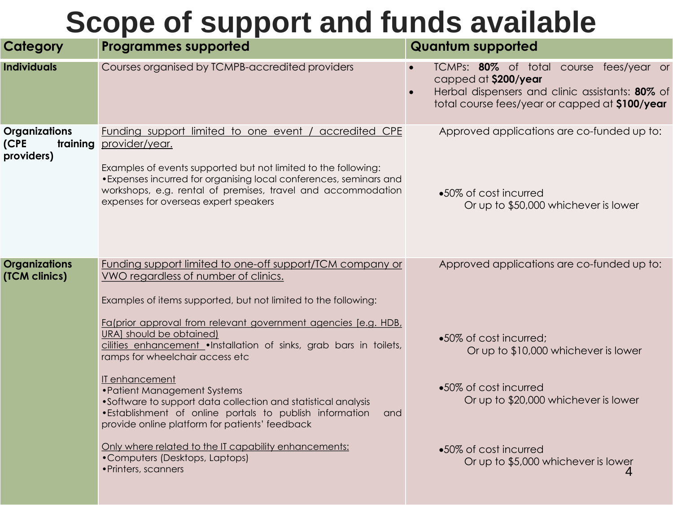#### **Scope of support and funds available**

| Category                                               | <b>Programmes supported</b>                                                                                                                                                                                                                                                                                              | <b>Quantum supported</b>                                                                                                                                             |  |
|--------------------------------------------------------|--------------------------------------------------------------------------------------------------------------------------------------------------------------------------------------------------------------------------------------------------------------------------------------------------------------------------|----------------------------------------------------------------------------------------------------------------------------------------------------------------------|--|
| <b>Individuals</b>                                     | Courses organised by TCMPB-accredited providers                                                                                                                                                                                                                                                                          | TCMPs: 80% of total course fees/year or<br>capped at \$200/year<br>Herbal dispensers and clinic assistants: 80% of<br>total course fees/year or capped at \$100/year |  |
| <b>Organizations</b><br>(CPE<br>training<br>providers) | Funding support limited to one event / accredited CPE<br>provider/year.<br>Examples of events supported but not limited to the following:<br>• Expenses incurred for organising local conferences, seminars and<br>workshops, e.g. rental of premises, travel and accommodation<br>expenses for overseas expert speakers | Approved applications are co-funded up to:<br>•50% of cost incurred                                                                                                  |  |
|                                                        |                                                                                                                                                                                                                                                                                                                          | Or up to \$50,000 whichever is lower                                                                                                                                 |  |
| <b>Organizations</b><br>(TCM clinics)                  | Funding support limited to one-off support/TCM company or<br>VWO regardless of number of clinics.<br>Examples of items supported, but not limited to the following:<br>Fa(prior approval from relevant government agencies [e.g. HDB,                                                                                    | Approved applications are co-funded up to:                                                                                                                           |  |
|                                                        | URA] should be obtained)<br>cilities enhancement . Installation of sinks, grab bars in toilets,<br>ramps for wheelchair access etc                                                                                                                                                                                       | •50% of cost incurred;<br>Or up to \$10,000 whichever is lower                                                                                                       |  |
|                                                        | IT enhancement<br>• Patient Management Systems<br>•Software to support data collection and statistical analysis<br>. Establishment of online portals to publish information<br>and<br>provide online platform for patients' feedback                                                                                     | •50% of cost incurred<br>Or up to \$20,000 whichever is lower                                                                                                        |  |
|                                                        | Only where related to the IT capability enhancements:<br>•Computers (Desktops, Laptops)<br>• Printers, scanners                                                                                                                                                                                                          | •50% of cost incurred<br>Or up to \$5,000 whichever is lower<br>4                                                                                                    |  |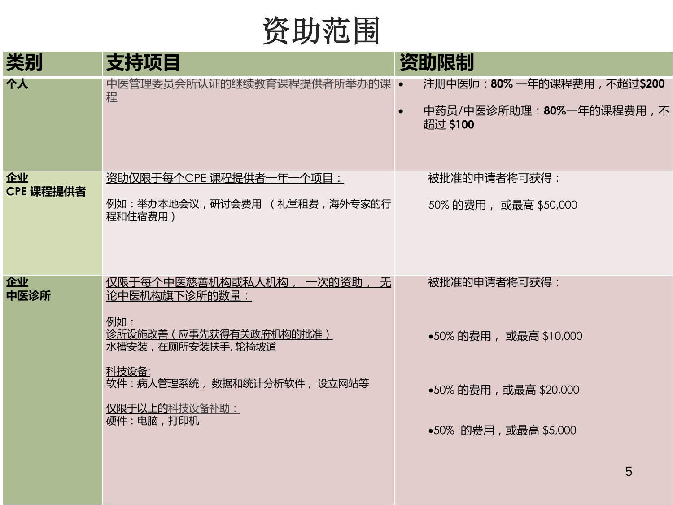资助范围

| 类别              | 支持项目                                                    | 资助限制                                                                |
|-----------------|---------------------------------------------------------|---------------------------------------------------------------------|
| 个人              | 中医管理委员会所认证的继续教育课程提供者所举办的课 •<br>程                        | 注册中医师: 80% 一年的课程费用, 不超过\$200<br>中药员/中医诊所助理:80%一年的课程费用,不<br>超过 \$100 |
| 企业<br>CPE 课程提供者 | 资助仅限于每个CPE 课程提供者一年一个项目:<br>例如:举办本地会议,研讨会费用 (礼堂租费,海外专家的行 | 被批准的申请者将可获得:<br>50% 的费用, 或最高 \$50,000                               |
|                 | 程和住宿费用)                                                 |                                                                     |
| 企业<br>中医诊所      | 仅限于每个中医慈善机构或私人机构, 一次的资助, 无<br>论中医机构旗下诊所的数量:             | 被批准的申请者将可获得:                                                        |
|                 | 例如:<br>诊所设施改善(应事先获得有关政府机构的批准)<br>水槽安装,在厕所安装扶手,轮椅坡道      | ●50% 的费用, 或最高 \$10,000                                              |
|                 | 科技设备:<br>软件:病人管理系统, 数据和统计分析软件, 设立网站等                    | ●50% 的费用,或最高 \$20,000                                               |
|                 | 仅限于以上的科技设备补助:<br>硬件:电脑,打印机                              | •50% 的费用,或最高 \$5,000                                                |
|                 |                                                         | 5                                                                   |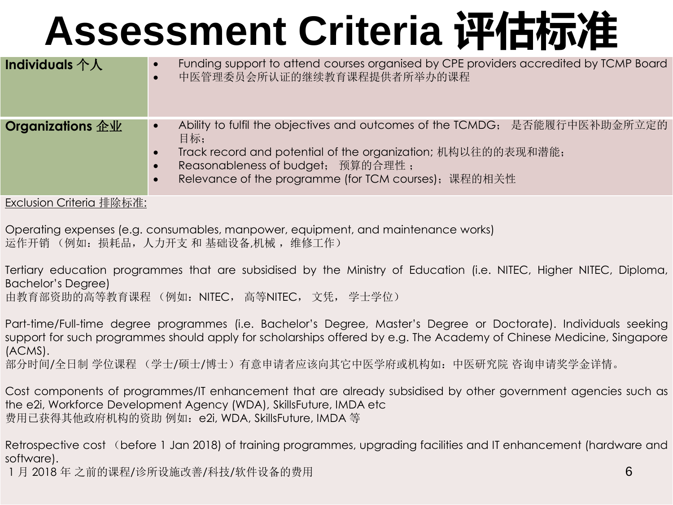## **Assessment Criteria 评估标准**

| <b>Individuals 个人</b>   | Funding support to attend courses organised by CPE providers accredited by TCMP Board<br>中医管理委员会所认证的继续教育课程提供者所举办的课程<br>$\bullet$                                                                                                                            |
|-------------------------|-------------------------------------------------------------------------------------------------------------------------------------------------------------------------------------------------------------------------------------------------------------|
| <b>Organizations 企业</b> | Ability to fulfil the objectives and outcomes of the TCMDG; 是否能履行中医补助金所立定的<br>$\bullet$<br>目标:<br>Track record and potential of the organization; 机构以往的的表现和潜能;<br>Reasonableness of budget; 预算的合理性;<br>Relevance of the programme (for TCM courses); 课程的相关性 |
|                         |                                                                                                                                                                                                                                                             |

Exclusion Criteria 排除标准:

Operating expenses (e.g. consumables, manpower, equipment, and maintenance works) 运作开销 (例如: 损耗品, 人力开支 和 基础设备,机械, 维修工作)

Tertiary education programmes that are subsidised by the Ministry of Education (i.e. NITEC, Higher NITEC, Diploma, Bachelor's Degree) 由教育部资助的高等教育课程 (例如:NITEC, 高等NITEC, 文凭, 学士学位)

Part-time/Full-time degree programmes (i.e. Bachelor's Degree, Master's Degree or Doctorate). Individuals seeking support for such programmes should apply for scholarships offered by e.g. The Academy of Chinese Medicine, Singapore (ACMS).

部分时间/全日制 学位课程 (学士/硕士/博士) 有意申请者应该向其它中医学府或机构如: 中医研究院 咨询申请奖学金详情。

Cost components of programmes/IT enhancement that are already subsidised by other government agencies such as the e2i, Workforce Development Agency (WDA), SkillsFuture, IMDA etc 费用已获得其他政府机构的资助 例如:e2i, WDA, SkillsFuture, IMDA 等

Retrospective cost (before 1 Jan 2018) of training programmes, upgrading facilities and IT enhancement (hardware and software).

1 月 2018 年 之前的课程/诊所设施改善/科技/软件设备的费用 6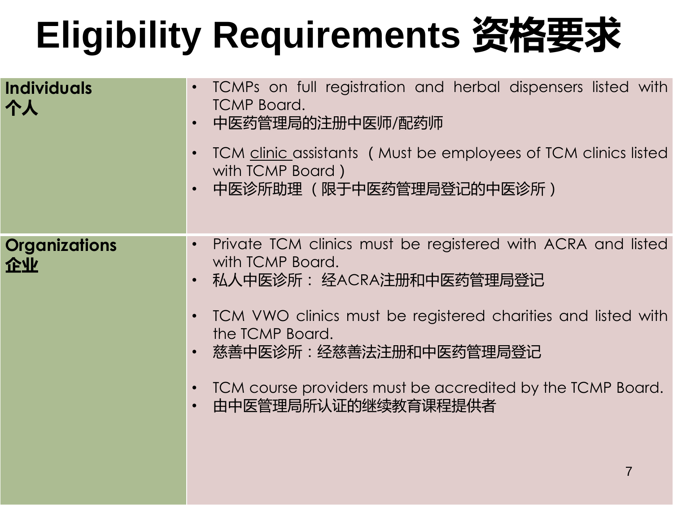## **Eligibility Requirements 资格要求**

| TCMPs on full registration and herbal dispensers listed with<br>$\bullet$<br><b>TCMP Board.</b><br>中医药管理局的注册中医师/配药师<br>$\bullet$<br>TCM clinic assistants (Must be employees of TCM clinics listed<br>$\bullet$<br>with TCMP Board)<br>中医诊所助理 (限于中医药管理局登记的中医诊所)<br>$\bullet$                                                                                                                         |
|------------------------------------------------------------------------------------------------------------------------------------------------------------------------------------------------------------------------------------------------------------------------------------------------------------------------------------------------------------------------------------------------------|
| Private TCM clinics must be registered with ACRA and listed<br>$\bullet$<br>with TCMP Board.<br>- 私人中医诊所: 经ACRA注册和中医药管理局登记<br>$\bullet$<br>TCM VWO clinics must be registered charities and listed with<br>$\bullet$<br>the TCMP Board.<br>- 慈善中医诊所:经慈善法注册和中医药管理局登记<br>$\bullet$<br>TCM course providers must be accredited by the TCMP Board.<br>$\bullet$<br>由中医管理局所认证的继续教育课程提供者<br>$\bullet$<br>7 |
|                                                                                                                                                                                                                                                                                                                                                                                                      |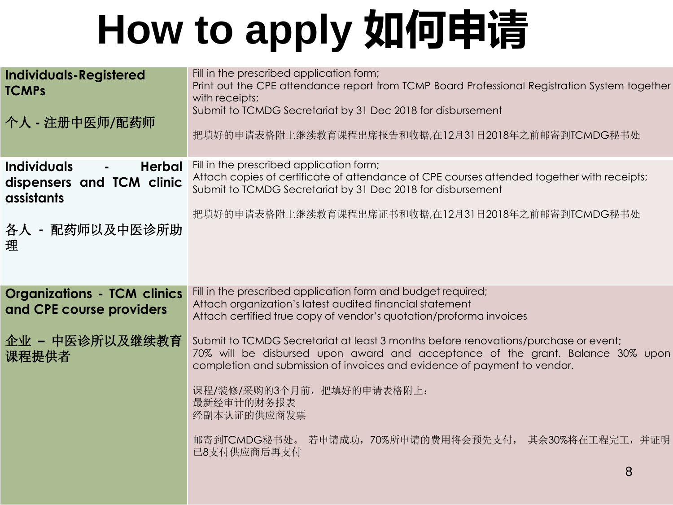# **How to apply 如何申请**

| <b>Individuals-Registered</b><br><b>TCMPs</b>                                                    | Fill in the prescribed application form;<br>Print out the CPE attendance report from TCMP Board Professional Registration System together<br>with receipts;                                                                                       |
|--------------------------------------------------------------------------------------------------|---------------------------------------------------------------------------------------------------------------------------------------------------------------------------------------------------------------------------------------------------|
| 个人 - 注册中医师/配药师                                                                                   | Submit to TCMDG Secretariat by 31 Dec 2018 for disbursement                                                                                                                                                                                       |
|                                                                                                  | 把填好的申请表格附上继续教育课程出席报告和收据,在12月31日2018年之前邮寄到TCMDG秘书处                                                                                                                                                                                                 |
| <b>Individuals</b><br><b>Herbal</b><br>$\blacksquare$<br>dispensers and TCM clinic<br>assistants | Fill in the prescribed application form;<br>Attach copies of certificate of attendance of CPE courses attended together with receipts;<br>Submit to TCMDG Secretariat by 31 Dec 2018 for disbursement                                             |
| 各人 - 配药师以及中医诊所助                                                                                  | 把填好的申请表格附上继续教育课程出席证书和收据,在12月31日2018年之前邮寄到TCMDG秘书处                                                                                                                                                                                                 |
| 理                                                                                                |                                                                                                                                                                                                                                                   |
|                                                                                                  |                                                                                                                                                                                                                                                   |
| <b>Organizations - TCM clinics</b><br>and CPE course providers                                   | Fill in the prescribed application form and budget required;<br>Attach organization's latest audited financial statement                                                                                                                          |
|                                                                                                  | Attach certified true copy of vendor's quotation/proforma invoices                                                                                                                                                                                |
| 企业 - 中医诊所以及继续教育<br>课程提供者                                                                         | Submit to TCMDG Secretariat at least 3 months before renovations/purchase or event;<br>70% will be disbursed upon award and acceptance of the grant. Balance 30% upon<br>completion and submission of invoices and evidence of payment to vendor. |
|                                                                                                  | 课程/装修/采购的3个月前, 把填好的申请表格附上:<br>最新经审计的财务报表<br>经副本认证的供应商发票                                                                                                                                                                                           |
|                                                                                                  | 邮寄到TCMDG秘书处。 若申请成功,70%所申请的费用将会预先支付, 其余30%将在工程完工,并证明<br>已8支付供应商后再支付                                                                                                                                                                                |
|                                                                                                  | 8                                                                                                                                                                                                                                                 |
|                                                                                                  |                                                                                                                                                                                                                                                   |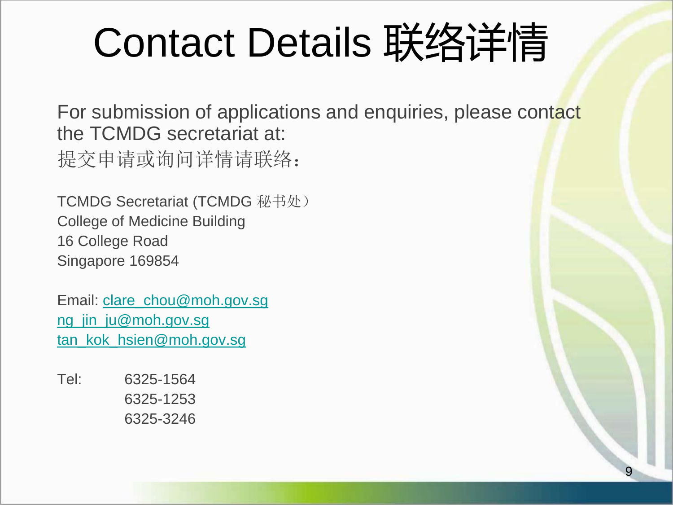## Contact Details 联络详情

For submission of applications and enquiries, please contact the TCMDG secretariat at: 提交申请或询问详情请联络:

9

TCMDG Secretariat (TCMDG 秘书处) College of Medicine Building 16 College Road Singapore 169854

Email: [clare\\_chou@moh.gov.sg](mailto:clare_chou@moh.gov.sg) [ng\\_jin\\_ju@moh.gov.sg](mailto:ng_jin_ju@moh.gov.sg) [tan\\_kok\\_hsien@moh.gov.sg](mailto:Tan_kok_hsien@moh.gov.sg)

Tel: 6325-1564 6325-1253 6325-3246